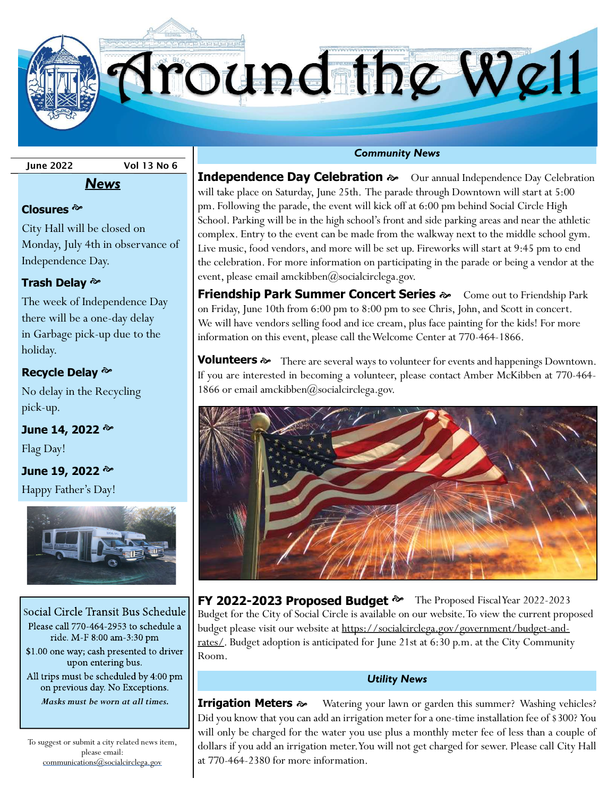Iround the Well

June 2022 Vol 13 No 6

## Closures<sup>&</sup>

City Hall will be closed on Monday, July 4th in observance of Independence Day.

News

# Trash Delay <sup></sup>

The week of Independence Day there will be a one-day delay in Garbage pick-up due to the holiday.

## Recycle Delay  $\infty$

No delay in the Recycling pick-up.

June 14, 2022 <sup>p</sup>

Flag Day!

# June 19, 2022 <sup>**→** $$

Happy Father's Day!



Social Circle Transit Bus Schedule Please call 770-464-2953 to schedule a ride. M-F 8:00 am-3:30 pm \$1.00 one way; cash presented to driver upon entering bus. All trips must be scheduled by 4:00 pm on previous day. No Exceptions. Masks must be worn at all times.

To suggest or submit a city related news item, please email: communications@socialcirclega.gov

**Independence Day Celebration**  $\infty$  Our annual Independence Day Celebration will take place on Saturday, June 25th. The parade through Downtown will start at 5:00 pm. Following the parade, the event will kick off at 6:00 pm behind Social Circle High School. Parking will be in the high school's front and side parking areas and near the athletic complex. Entry to the event can be made from the walkway next to the middle school gym. Live music, food vendors, and more will be set up. Fireworks will start at 9:45 pm to end the celebration. For more information on participating in the parade or being a vendor at the event, please email amckibben@socialcirclega.gov.

**Friendship Park Summer Concert Series**  $\gg$  Come out to Friendship Park on Friday, June 10th from 6:00 pm to 8:00 pm to see Chris, John, and Scott in concert. We will have vendors selling food and ice cream, plus face painting for the kids! For more information on this event, please call the Welcome Center at 770-464-1866.

**Volunteers**  $\gg$  There are several ways to volunteer for events and happenings Downtown. If you are interested in becoming a volunteer, please contact Amber McKibben at 770-464- 1866 or email amckibben $@$ socialcirclega.gov.



FY 2022-2023 Proposed Budget  $\approx$  The Proposed Fiscal Year 2022-2023 Budget for the City of Social Circle is available on our website. To view the current proposed budget please visit our website at https://socialcirclega.gov/government/budget-andrates/. Budget adoption is anticipated for June 21st at 6:30 p.m. at the City Community Room.

## Utility News

**Irrigation Meters**  $\gg$  Watering your lawn or garden this summer? Washing vehicles? Did you know that you can add an irrigation meter for a one-time installation fee of \$300? You will only be charged for the water you use plus a monthly meter fee of less than a couple of dollars if you add an irrigation meter. You will not get charged for sewer. Please call City Hall at 770-464-2380 for more information.

## Community News